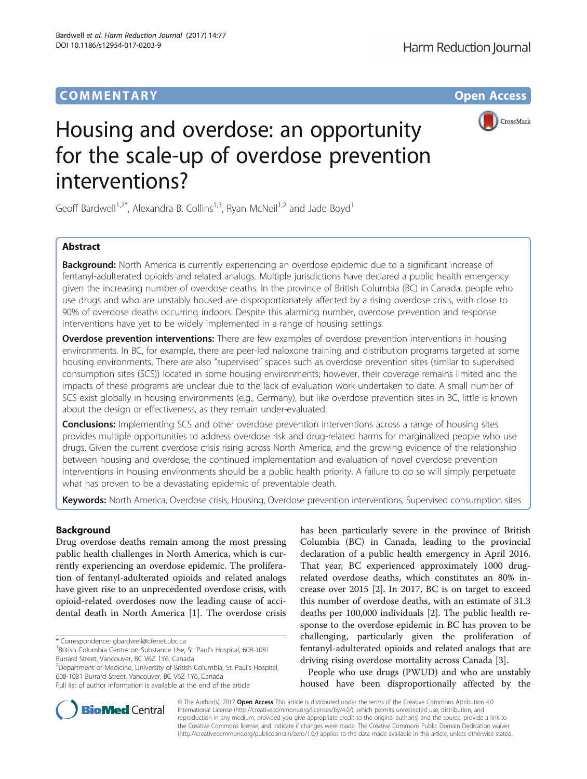## **COMMENTARY COMMENTARY Open Access**



# Housing and overdose: an opportunity for the scale-up of overdose prevention interventions?

Geoff Bardwell<sup>1,2\*</sup>, Alexandra B. Collins<sup>1,3</sup>, Ryan McNeil<sup>1,2</sup> and Jade Boyd<sup>1</sup>

## Abstract

Background: North America is currently experiencing an overdose epidemic due to a significant increase of fentanyl-adulterated opioids and related analogs. Multiple jurisdictions have declared a public health emergency given the increasing number of overdose deaths. In the province of British Columbia (BC) in Canada, people who use drugs and who are unstably housed are disproportionately affected by a rising overdose crisis, with close to 90% of overdose deaths occurring indoors. Despite this alarming number, overdose prevention and response interventions have yet to be widely implemented in a range of housing settings.

**Overdose prevention interventions:** There are few examples of overdose prevention interventions in housing environments. In BC, for example, there are peer-led naloxone training and distribution programs targeted at some housing environments. There are also "supervised" spaces such as overdose prevention sites (similar to supervised consumption sites (SCS)) located in some housing environments; however, their coverage remains limited and the impacts of these programs are unclear due to the lack of evaluation work undertaken to date. A small number of SCS exist globally in housing environments (e.g., Germany), but like overdose prevention sites in BC, little is known about the design or effectiveness, as they remain under-evaluated.

**Conclusions:** Implementing SCS and other overdose prevention interventions across a range of housing sites provides multiple opportunities to address overdose risk and drug-related harms for marginalized people who use drugs. Given the current overdose crisis rising across North America, and the growing evidence of the relationship between housing and overdose, the continued implementation and evaluation of novel overdose prevention interventions in housing environments should be a public health priority. A failure to do so will simply perpetuate what has proven to be a devastating epidemic of preventable death.

Keywords: North America, Overdose crisis, Housing, Overdose prevention interventions, Supervised consumption sites

### Background

Drug overdose deaths remain among the most pressing public health challenges in North America, which is currently experiencing an overdose epidemic. The proliferation of fentanyl-adulterated opioids and related analogs have given rise to an unprecedented overdose crisis, with opioid-related overdoses now the leading cause of accidental death in North America [[1\]](#page-3-0). The overdose crisis

\* Correspondence: [gbardwell@cfenet.ubc.ca](mailto:gbardwell@cfenet.ubc.ca) <sup>1</sup>

<sup>2</sup>Department of Medicine, University of British Columbia, St. Paul's Hospital, 608-1081 Burrard Street, Vancouver, BC V6Z 1Y6, Canada Full list of author information is available at the end of the article

has been particularly severe in the province of British Columbia (BC) in Canada, leading to the provincial declaration of a public health emergency in April 2016. That year, BC experienced approximately 1000 drugrelated overdose deaths, which constitutes an 80% increase over 2015 [[2\]](#page-3-0). In 2017, BC is on target to exceed this number of overdose deaths, with an estimate of 31.3 deaths per 100,000 individuals [[2\]](#page-3-0). The public health response to the overdose epidemic in BC has proven to be challenging, particularly given the proliferation of fentanyl-adulterated opioids and related analogs that are driving rising overdose mortality across Canada [[3\]](#page-3-0).

People who use drugs (PWUD) and who are unstably housed have been disproportionally affected by the



© The Author(s). 2017 **Open Access** This article is distributed under the terms of the Creative Commons Attribution 4.0 International License [\(http://creativecommons.org/licenses/by/4.0/](http://creativecommons.org/licenses/by/4.0/)), which permits unrestricted use, distribution, and reproduction in any medium, provided you give appropriate credit to the original author(s) and the source, provide a link to the Creative Commons license, and indicate if changes were made. The Creative Commons Public Domain Dedication waiver [\(http://creativecommons.org/publicdomain/zero/1.0/](http://creativecommons.org/publicdomain/zero/1.0/)) applies to the data made available in this article, unless otherwise stated.

<sup>&</sup>lt;sup>1</sup>British Columbia Centre on Substance Use, St. Paul's Hospital, 608-1081 Burrard Street, Vancouver, BC V6Z 1Y6, Canada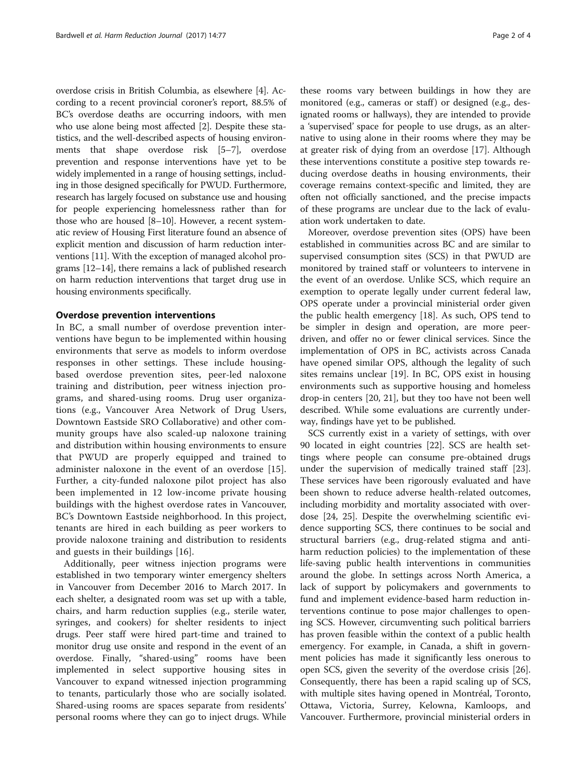overdose crisis in British Columbia, as elsewhere [[4](#page-3-0)]. According to a recent provincial coroner's report, 88.5% of BC's overdose deaths are occurring indoors, with men who use alone being most affected [[2\]](#page-3-0). Despite these statistics, and the well-described aspects of housing environments that shape overdose risk [\[5](#page-3-0)–[7\]](#page-3-0), overdose prevention and response interventions have yet to be widely implemented in a range of housing settings, including in those designed specifically for PWUD. Furthermore, research has largely focused on substance use and housing for people experiencing homelessness rather than for those who are housed [\[8](#page-3-0)–[10\]](#page-3-0). However, a recent systematic review of Housing First literature found an absence of explicit mention and discussion of harm reduction interventions [\[11\]](#page-3-0). With the exception of managed alcohol programs [\[12](#page-3-0)–[14](#page-3-0)], there remains a lack of published research on harm reduction interventions that target drug use in housing environments specifically.

#### Overdose prevention interventions

In BC, a small number of overdose prevention interventions have begun to be implemented within housing environments that serve as models to inform overdose responses in other settings. These include housingbased overdose prevention sites, peer-led naloxone training and distribution, peer witness injection programs, and shared-using rooms. Drug user organizations (e.g., Vancouver Area Network of Drug Users, Downtown Eastside SRO Collaborative) and other community groups have also scaled-up naloxone training and distribution within housing environments to ensure that PWUD are properly equipped and trained to administer naloxone in the event of an overdose [[15](#page-3-0)]. Further, a city-funded naloxone pilot project has also been implemented in 12 low-income private housing buildings with the highest overdose rates in Vancouver, BC's Downtown Eastside neighborhood. In this project, tenants are hired in each building as peer workers to provide naloxone training and distribution to residents and guests in their buildings [[16\]](#page-3-0).

Additionally, peer witness injection programs were established in two temporary winter emergency shelters in Vancouver from December 2016 to March 2017. In each shelter, a designated room was set up with a table, chairs, and harm reduction supplies (e.g., sterile water, syringes, and cookers) for shelter residents to inject drugs. Peer staff were hired part-time and trained to monitor drug use onsite and respond in the event of an overdose. Finally, "shared-using" rooms have been implemented in select supportive housing sites in Vancouver to expand witnessed injection programming to tenants, particularly those who are socially isolated. Shared-using rooms are spaces separate from residents' personal rooms where they can go to inject drugs. While

these rooms vary between buildings in how they are monitored (e.g., cameras or staff) or designed (e.g., designated rooms or hallways), they are intended to provide a 'supervised' space for people to use drugs, as an alternative to using alone in their rooms where they may be at greater risk of dying from an overdose [[17](#page-3-0)]. Although these interventions constitute a positive step towards reducing overdose deaths in housing environments, their coverage remains context-specific and limited, they are often not officially sanctioned, and the precise impacts of these programs are unclear due to the lack of evaluation work undertaken to date.

Moreover, overdose prevention sites (OPS) have been established in communities across BC and are similar to supervised consumption sites (SCS) in that PWUD are monitored by trained staff or volunteers to intervene in the event of an overdose. Unlike SCS, which require an exemption to operate legally under current federal law, OPS operate under a provincial ministerial order given the public health emergency [\[18\]](#page-3-0). As such, OPS tend to be simpler in design and operation, are more peerdriven, and offer no or fewer clinical services. Since the implementation of OPS in BC, activists across Canada have opened similar OPS, although the legality of such sites remains unclear [[19](#page-3-0)]. In BC, OPS exist in housing environments such as supportive housing and homeless drop-in centers [\[20, 21](#page-3-0)], but they too have not been well described. While some evaluations are currently underway, findings have yet to be published.

SCS currently exist in a variety of settings, with over 90 located in eight countries [[22\]](#page-3-0). SCS are health settings where people can consume pre-obtained drugs under the supervision of medically trained staff [\[23](#page-3-0)]. These services have been rigorously evaluated and have been shown to reduce adverse health-related outcomes, including morbidity and mortality associated with overdose [\[24, 25\]](#page-3-0). Despite the overwhelming scientific evidence supporting SCS, there continues to be social and structural barriers (e.g., drug-related stigma and antiharm reduction policies) to the implementation of these life-saving public health interventions in communities around the globe. In settings across North America, a lack of support by policymakers and governments to fund and implement evidence-based harm reduction interventions continue to pose major challenges to opening SCS. However, circumventing such political barriers has proven feasible within the context of a public health emergency. For example, in Canada, a shift in government policies has made it significantly less onerous to open SCS, given the severity of the overdose crisis [\[26](#page-3-0)]. Consequently, there has been a rapid scaling up of SCS, with multiple sites having opened in Montréal, Toronto, Ottawa, Victoria, Surrey, Kelowna, Kamloops, and Vancouver. Furthermore, provincial ministerial orders in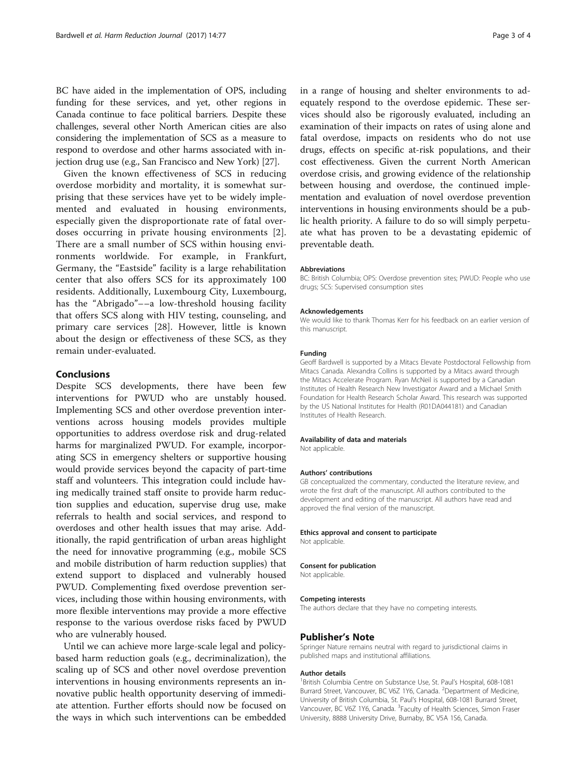BC have aided in the implementation of OPS, including funding for these services, and yet, other regions in Canada continue to face political barriers. Despite these challenges, several other North American cities are also considering the implementation of SCS as a measure to respond to overdose and other harms associated with injection drug use (e.g., San Francisco and New York) [[27\]](#page-3-0).

Given the known effectiveness of SCS in reducing overdose morbidity and mortality, it is somewhat surprising that these services have yet to be widely implemented and evaluated in housing environments, especially given the disproportionate rate of fatal overdoses occurring in private housing environments [\[2](#page-3-0)]. There are a small number of SCS within housing environments worldwide. For example, in Frankfurt, Germany, the "Eastside" facility is a large rehabilitation center that also offers SCS for its approximately 100 residents. Additionally, Luxembourg City, Luxembourg, has the "Abrigado"––a low-threshold housing facility that offers SCS along with HIV testing, counseling, and primary care services [[28\]](#page-3-0). However, little is known about the design or effectiveness of these SCS, as they remain under-evaluated.

#### Conclusions

Despite SCS developments, there have been few interventions for PWUD who are unstably housed. Implementing SCS and other overdose prevention interventions across housing models provides multiple opportunities to address overdose risk and drug-related harms for marginalized PWUD. For example, incorporating SCS in emergency shelters or supportive housing would provide services beyond the capacity of part-time staff and volunteers. This integration could include having medically trained staff onsite to provide harm reduction supplies and education, supervise drug use, make referrals to health and social services, and respond to overdoses and other health issues that may arise. Additionally, the rapid gentrification of urban areas highlight the need for innovative programming (e.g., mobile SCS and mobile distribution of harm reduction supplies) that extend support to displaced and vulnerably housed PWUD. Complementing fixed overdose prevention services, including those within housing environments, with more flexible interventions may provide a more effective response to the various overdose risks faced by PWUD who are vulnerably housed.

Until we can achieve more large-scale legal and policybased harm reduction goals (e.g., decriminalization), the scaling up of SCS and other novel overdose prevention interventions in housing environments represents an innovative public health opportunity deserving of immediate attention. Further efforts should now be focused on the ways in which such interventions can be embedded in a range of housing and shelter environments to adequately respond to the overdose epidemic. These services should also be rigorously evaluated, including an examination of their impacts on rates of using alone and fatal overdose, impacts on residents who do not use drugs, effects on specific at-risk populations, and their cost effectiveness. Given the current North American overdose crisis, and growing evidence of the relationship between housing and overdose, the continued implementation and evaluation of novel overdose prevention interventions in housing environments should be a public health priority. A failure to do so will simply perpetuate what has proven to be a devastating epidemic of preventable death.

#### Abbreviations

BC: British Columbia; OPS: Overdose prevention sites; PWUD: People who use drugs; SCS: Supervised consumption sites

#### Acknowledgements

We would like to thank Thomas Kerr for his feedback on an earlier version of this manuscript.

#### Funding

Geoff Bardwell is supported by a Mitacs Elevate Postdoctoral Fellowship from Mitacs Canada. Alexandra Collins is supported by a Mitacs award through the Mitacs Accelerate Program. Ryan McNeil is supported by a Canadian Institutes of Health Research New Investigator Award and a Michael Smith Foundation for Health Research Scholar Award. This research was supported by the US National Institutes for Health (R01DA044181) and Canadian Institutes of Health Research.

## Availability of data and materials

Not applicable.

#### Authors' contributions

GB conceptualized the commentary, conducted the literature review, and wrote the first draft of the manuscript. All authors contributed to the development and editing of the manuscript. All authors have read and approved the final version of the manuscript.

#### Ethics approval and consent to participate

Not applicable.

#### Consent for publication

Not applicable.

#### Competing interests

The authors declare that they have no competing interests.

#### Publisher's Note

Springer Nature remains neutral with regard to jurisdictional claims in published maps and institutional affiliations.

#### Author details

<sup>1</sup> British Columbia Centre on Substance Use, St. Paul's Hospital, 608-1081 Burrard Street, Vancouver, BC V6Z 1Y6, Canada. <sup>2</sup> Department of Medicine, University of British Columbia, St. Paul's Hospital, 608-1081 Burrard Street, Vancouver, BC V6Z 1Y6, Canada. <sup>3</sup> Faculty of Health Sciences, Simon Fraser University, 8888 University Drive, Burnaby, BC V5A 1S6, Canada.